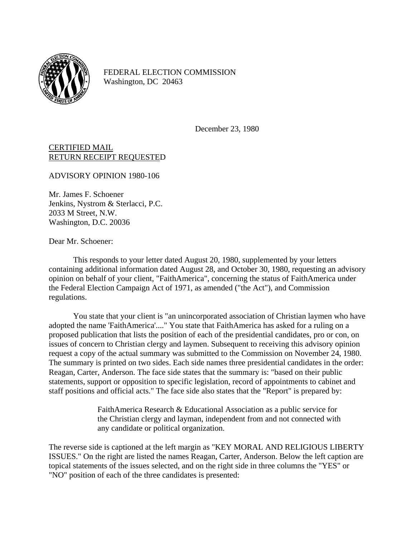

FEDERAL ELECTION COMMISSION Washington, DC 20463

December 23, 1980

CERTIFIED MAIL RETURN RECEIPT REQUESTED

ADVISORY OPINION 1980-106

Mr. James F. Schoener Jenkins, Nystrom & Sterlacci, P.C. 2033 M Street, N.W. Washington, D.C. 20036

Dear Mr. Schoener:

This responds to your letter dated August 20, 1980, supplemented by your letters containing additional information dated August 28, and October 30, 1980, requesting an advisory opinion on behalf of your client, "FaithAmerica", concerning the status of FaithAmerica under the Federal Election Campaign Act of 1971, as amended ("the Act"), and Commission regulations.

You state that your client is "an unincorporated association of Christian laymen who have adopted the name 'FaithAmerica'...." You state that FaithAmerica has asked for a ruling on a proposed publication that lists the position of each of the presidential candidates, pro or con, on issues of concern to Christian clergy and laymen. Subsequent to receiving this advisory opinion request a copy of the actual summary was submitted to the Commission on November 24, 1980. The summary is printed on two sides. Each side names three presidential candidates in the order: Reagan, Carter, Anderson. The face side states that the summary is: "based on their public statements, support or opposition to specific legislation, record of appointments to cabinet and staff positions and official acts." The face side also states that the "Report" is prepared by:

> FaithAmerica Research & Educational Association as a public service for the Christian clergy and layman, independent from and not connected with any candidate or political organization.

The reverse side is captioned at the left margin as "KEY MORAL AND RELIGIOUS LIBERTY ISSUES." On the right are listed the names Reagan, Carter, Anderson. Below the left caption are topical statements of the issues selected, and on the right side in three columns the "YES" or "NO" position of each of the three candidates is presented: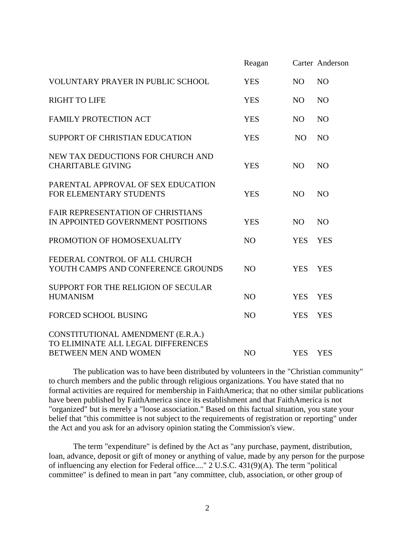|                                                                                                  | Reagan         |                | Carter Anderson |
|--------------------------------------------------------------------------------------------------|----------------|----------------|-----------------|
| <b>VOLUNTARY PRAYER IN PUBLIC SCHOOL</b>                                                         | <b>YES</b>     | N <sub>O</sub> | N <sub>O</sub>  |
| <b>RIGHT TO LIFE</b>                                                                             | <b>YES</b>     | N <sub>O</sub> | N <sub>O</sub>  |
| <b>FAMILY PROTECTION ACT</b>                                                                     | <b>YES</b>     | NO.            | N <sub>O</sub>  |
| SUPPORT OF CHRISTIAN EDUCATION                                                                   | <b>YES</b>     | N <sub>O</sub> | N <sub>O</sub>  |
| NEW TAX DEDUCTIONS FOR CHURCH AND<br><b>CHARITABLE GIVING</b>                                    | <b>YES</b>     | <b>NO</b>      | <b>NO</b>       |
| PARENTAL APPROVAL OF SEX EDUCATION<br>FOR ELEMENTARY STUDENTS                                    | <b>YES</b>     | N <sub>O</sub> | N <sub>O</sub>  |
| FAIR REPRESENTATION OF CHRISTIANS<br>IN APPOINTED GOVERNMENT POSITIONS                           | <b>YES</b>     | NO.            | N <sub>O</sub>  |
| PROMOTION OF HOMOSEXUALITY                                                                       | <b>NO</b>      | <b>YES</b>     | <b>YES</b>      |
| FEDERAL CONTROL OF ALL CHURCH<br>YOUTH CAMPS AND CONFERENCE GROUNDS                              | N <sub>O</sub> | <b>YES</b>     | <b>YES</b>      |
| SUPPORT FOR THE RELIGION OF SECULAR<br><b>HUMANISM</b>                                           | N <sub>O</sub> | <b>YES</b>     | <b>YES</b>      |
| <b>FORCED SCHOOL BUSING</b>                                                                      | N <sub>O</sub> | <b>YES</b>     | <b>YES</b>      |
| CONSTITUTIONAL AMENDMENT (E.R.A.)<br>TO ELIMINATE ALL LEGAL DIFFERENCES<br>BETWEEN MEN AND WOMEN | N <sub>O</sub> | <b>YES</b>     | <b>YES</b>      |

The publication was to have been distributed by volunteers in the "Christian community" to church members and the public through religious organizations. You have stated that no formal activities are required for membership in FaithAmerica; that no other similar publications have been published by FaithAmerica since its establishment and that FaithAmerica is not "organized" but is merely a "loose association." Based on this factual situation, you state your belief that "this committee is not subject to the requirements of registration or reporting" under the Act and you ask for an advisory opinion stating the Commission's view.

The term "expenditure" is defined by the Act as "any purchase, payment, distribution, loan, advance, deposit or gift of money or anything of value, made by any person for the purpose of influencing any election for Federal office...."  $2$  U.S.C. 431(9)(A). The term "political committee" is defined to mean in part "any committee, club, association, or other group of